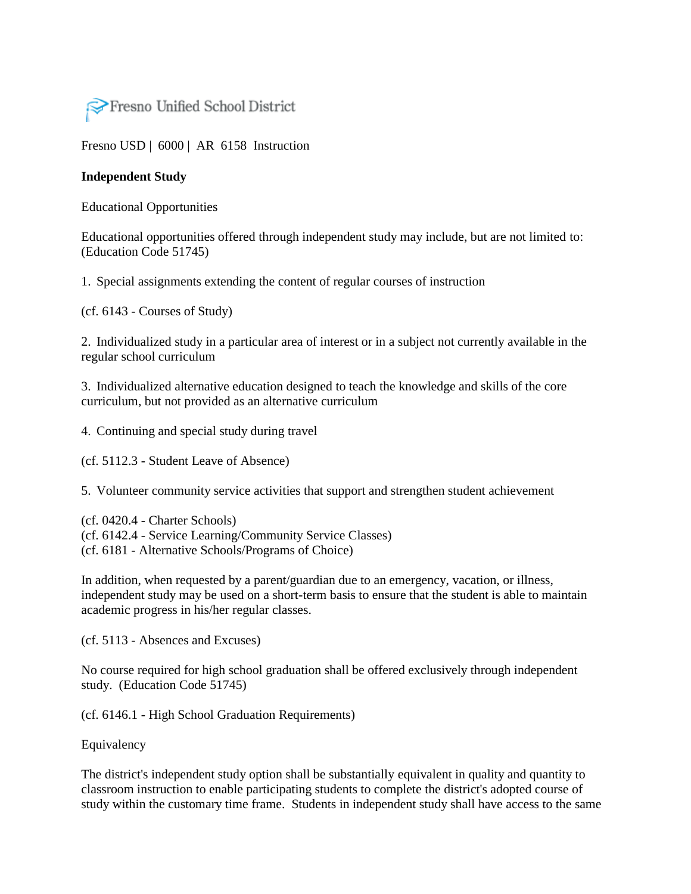

[Fresno USD](http://www.fresnounified.org/board/policies/Policies/fusd/loaddistrictpolicy/1050.htm) | [6000](http://www.fresnounified.org/board/policies/Policies/fusd/policycategorylist/1050/6.htm) | AR 6158 Instruction

## **Independent Study**

Educational Opportunities

Educational opportunities offered through independent study may include, but are not limited to: (Education Code 51745)

1. Special assignments extending the content of regular courses of instruction

(cf. 6143 - Courses of Study)

2. Individualized study in a particular area of interest or in a subject not currently available in the regular school curriculum

3. Individualized alternative education designed to teach the knowledge and skills of the core curriculum, but not provided as an alternative curriculum

4. Continuing and special study during travel

(cf. 5112.3 - Student Leave of Absence)

5. Volunteer community service activities that support and strengthen student achievement

(cf. 0420.4 - Charter Schools) (cf. 6142.4 - Service Learning/Community Service Classes) (cf. 6181 - Alternative Schools/Programs of Choice)

In addition, when requested by a parent/guardian due to an emergency, vacation, or illness, independent study may be used on a short-term basis to ensure that the student is able to maintain academic progress in his/her regular classes.

(cf. 5113 - Absences and Excuses)

No course required for high school graduation shall be offered exclusively through independent study. (Education Code 51745)

(cf. 6146.1 - High School Graduation Requirements)

Equivalency

The district's independent study option shall be substantially equivalent in quality and quantity to classroom instruction to enable participating students to complete the district's adopted course of study within the customary time frame. Students in independent study shall have access to the same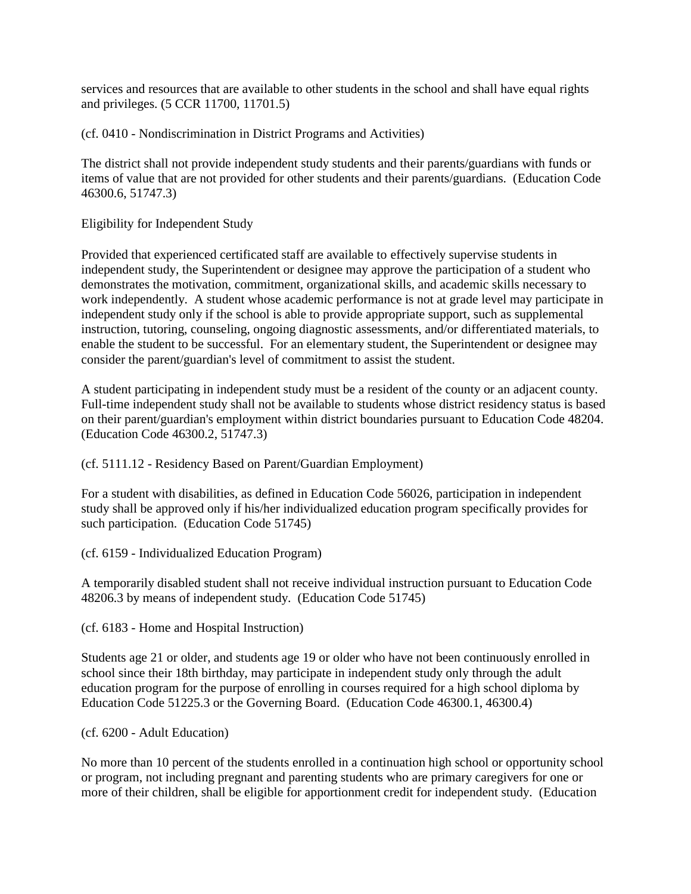services and resources that are available to other students in the school and shall have equal rights and privileges. (5 CCR 11700, 11701.5)

(cf. 0410 - Nondiscrimination in District Programs and Activities)

The district shall not provide independent study students and their parents/guardians with funds or items of value that are not provided for other students and their parents/guardians. (Education Code 46300.6, 51747.3)

Eligibility for Independent Study

Provided that experienced certificated staff are available to effectively supervise students in independent study, the Superintendent or designee may approve the participation of a student who demonstrates the motivation, commitment, organizational skills, and academic skills necessary to work independently. A student whose academic performance is not at grade level may participate in independent study only if the school is able to provide appropriate support, such as supplemental instruction, tutoring, counseling, ongoing diagnostic assessments, and/or differentiated materials, to enable the student to be successful. For an elementary student, the Superintendent or designee may consider the parent/guardian's level of commitment to assist the student.

A student participating in independent study must be a resident of the county or an adjacent county. Full-time independent study shall not be available to students whose district residency status is based on their parent/guardian's employment within district boundaries pursuant to Education Code 48204. (Education Code 46300.2, 51747.3)

(cf. 5111.12 - Residency Based on Parent/Guardian Employment)

For a student with disabilities, as defined in Education Code 56026, participation in independent study shall be approved only if his/her individualized education program specifically provides for such participation. (Education Code 51745)

(cf. 6159 - Individualized Education Program)

A temporarily disabled student shall not receive individual instruction pursuant to Education Code 48206.3 by means of independent study. (Education Code 51745)

(cf. 6183 - Home and Hospital Instruction)

Students age 21 or older, and students age 19 or older who have not been continuously enrolled in school since their 18th birthday, may participate in independent study only through the adult education program for the purpose of enrolling in courses required for a high school diploma by Education Code 51225.3 or the Governing Board. (Education Code 46300.1, 46300.4)

(cf. 6200 - Adult Education)

No more than 10 percent of the students enrolled in a continuation high school or opportunity school or program, not including pregnant and parenting students who are primary caregivers for one or more of their children, shall be eligible for apportionment credit for independent study. (Education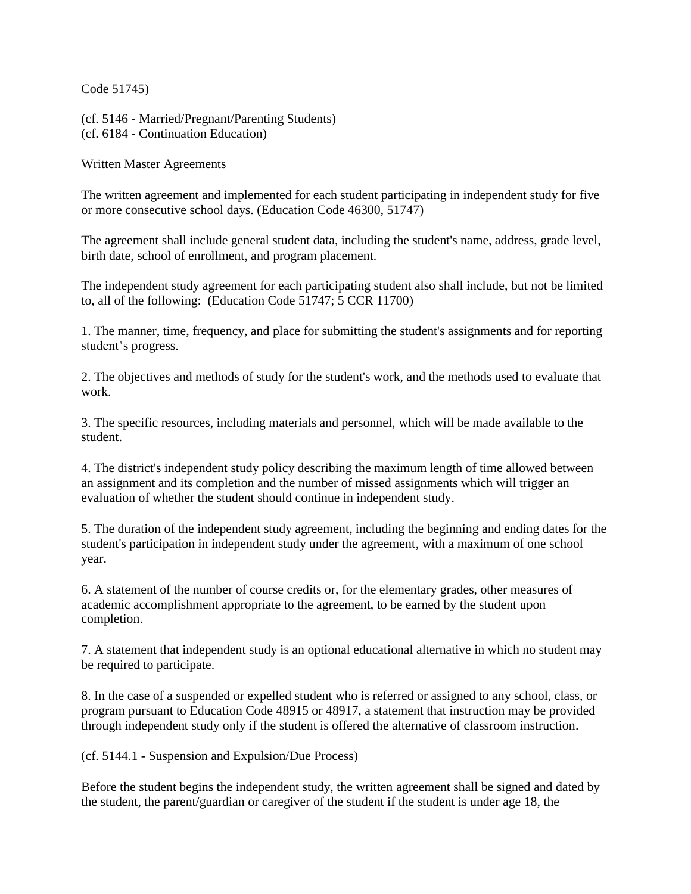Code 51745)

(cf. 5146 - Married/Pregnant/Parenting Students) (cf. 6184 - Continuation Education)

Written Master Agreements

The written agreement and implemented for each student participating in independent study for five or more consecutive school days. (Education Code 46300, [51747\)](http://www.fresnounified.org/board/policies/Policies/fusd/displaypolicy/132742/6.htm)

The agreement shall include general student data, including the student's name, address, grade level, birth date, school of enrollment, and program placement.

The independent study agreement for each participating student also shall include, but not be limited to, all of the following: (Education Code 51747; 5 CCR 11700)

1. The manner, time, frequency, and place for submitting the student's assignments and for reporting student's progress.

2. The objectives and methods of study for the student's work, and the methods used to evaluate that work.

3. The specific resources, including materials and personnel, which will be made available to the student.

4. The district's independent study policy describing the maximum length of time allowed between an assignment and its completion and the number of missed assignments which will trigger an evaluation of whether the student should continue in independent study.

5. The duration of the independent study agreement, including the beginning and ending dates for the student's participation in independent study under the agreement, with a maximum of one school year.

6. A statement of the number of course credits or, for the elementary grades, other measures of academic accomplishment appropriate to the agreement, to be earned by the student upon completion.

7. A statement that independent study is an optional educational alternative in which no student may be required to participate.

8. In the case of a suspended or expelled student who is referred or assigned to any school, class, or program pursuant to Education Code 48915 or 48917, a statement that instruction may be provided through independent study only if the student is offered the alternative of classroom instruction.

(cf. [5144.1](http://www.fresnounified.org/board/policies/Policies/fusd/displaypolicy/144160/6.htm) - Suspension and Expulsion/Due Process)

Before the student begins the independent study, the written agreement shall be signed and dated by the student, the parent/guardian or caregiver of the student if the student is under age 18, the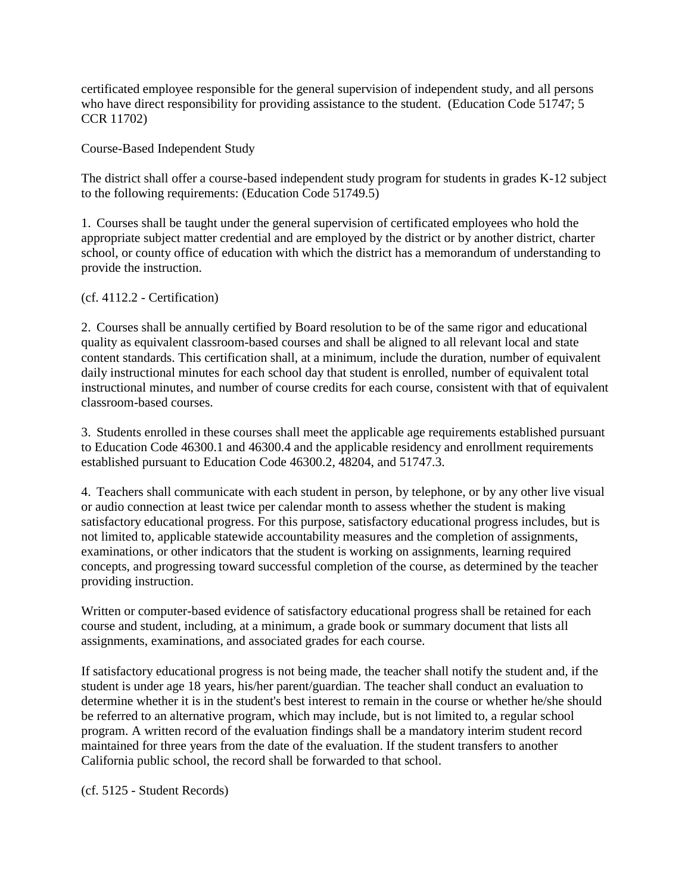certificated employee responsible for the general supervision of independent study, and all persons who have direct responsibility for providing assistance to the student. (Education Code 51747; 5 CCR 11702)

Course-Based Independent Study

The district shall offer a course-based independent study program for students in grades K-12 subject to the following requirements: (Education Code 51749.5)

1. Courses shall be taught under the general supervision of certificated employees who hold the appropriate subject matter credential and are employed by the district or by another district, charter school, or county office of education with which the district has a memorandum of understanding to provide the instruction.

## (cf. 4112.2 - Certification)

2. Courses shall be annually certified by Board resolution to be of the same rigor and educational quality as equivalent classroom-based courses and shall be aligned to all relevant local and state content standards. This certification shall, at a minimum, include the duration, number of equivalent daily instructional minutes for each school day that student is enrolled, number of equivalent total instructional minutes, and number of course credits for each course, consistent with that of equivalent classroom-based courses.

3. Students enrolled in these courses shall meet the applicable age requirements established pursuant to Education Code 46300.1 and 46300.4 and the applicable residency and enrollment requirements established pursuant to Education Code 46300.2, 48204, and 51747.3.

4. Teachers shall communicate with each student in person, by telephone, or by any other live visual or audio connection at least twice per calendar month to assess whether the student is making satisfactory educational progress. For this purpose, satisfactory educational progress includes, but is not limited to, applicable statewide accountability measures and the completion of assignments, examinations, or other indicators that the student is working on assignments, learning required concepts, and progressing toward successful completion of the course, as determined by the teacher providing instruction.

Written or computer-based evidence of satisfactory educational progress shall be retained for each course and student, including, at a minimum, a grade book or summary document that lists all assignments, examinations, and associated grades for each course.

If satisfactory educational progress is not being made, the teacher shall notify the student and, if the student is under age 18 years, his/her parent/guardian. The teacher shall conduct an evaluation to determine whether it is in the student's best interest to remain in the course or whether he/she should be referred to an alternative program, which may include, but is not limited to, a regular school program. A written record of the evaluation findings shall be a mandatory interim student record maintained for three years from the date of the evaluation. If the student transfers to another California public school, the record shall be forwarded to that school.

(cf. 5125 - Student Records)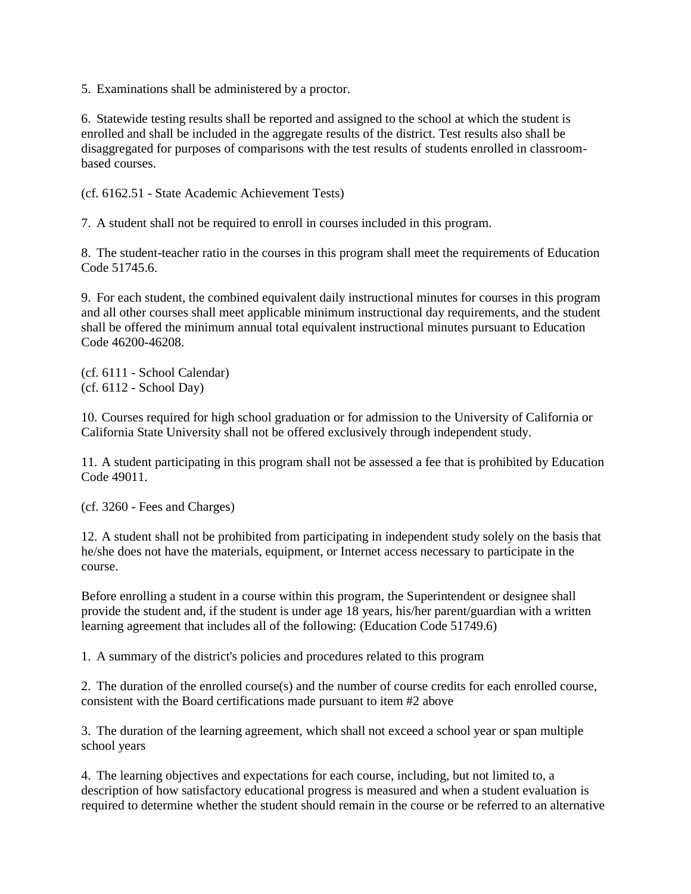5. Examinations shall be administered by a proctor.

6. Statewide testing results shall be reported and assigned to the school at which the student is enrolled and shall be included in the aggregate results of the district. Test results also shall be disaggregated for purposes of comparisons with the test results of students enrolled in classroombased courses.

(cf. 6162.51 - State Academic Achievement Tests)

7. A student shall not be required to enroll in courses included in this program.

8. The student-teacher ratio in the courses in this program shall meet the requirements of Education Code 51745.6.

9. For each student, the combined equivalent daily instructional minutes for courses in this program and all other courses shall meet applicable minimum instructional day requirements, and the student shall be offered the minimum annual total equivalent instructional minutes pursuant to Education Code 46200-46208.

(cf. 6111 - School Calendar) (cf. 6112 - School Day)

10. Courses required for high school graduation or for admission to the University of California or California State University shall not be offered exclusively through independent study.

11. A student participating in this program shall not be assessed a fee that is prohibited by Education Code 49011.

(cf. 3260 - Fees and Charges)

12. A student shall not be prohibited from participating in independent study solely on the basis that he/she does not have the materials, equipment, or Internet access necessary to participate in the course.

Before enrolling a student in a course within this program, the Superintendent or designee shall provide the student and, if the student is under age 18 years, his/her parent/guardian with a written learning agreement that includes all of the following: (Education Code 51749.6)

1. A summary of the district's policies and procedures related to this program

2. The duration of the enrolled course(s) and the number of course credits for each enrolled course, consistent with the Board certifications made pursuant to item #2 above

3. The duration of the learning agreement, which shall not exceed a school year or span multiple school years

4. The learning objectives and expectations for each course, including, but not limited to, a description of how satisfactory educational progress is measured and when a student evaluation is required to determine whether the student should remain in the course or be referred to an alternative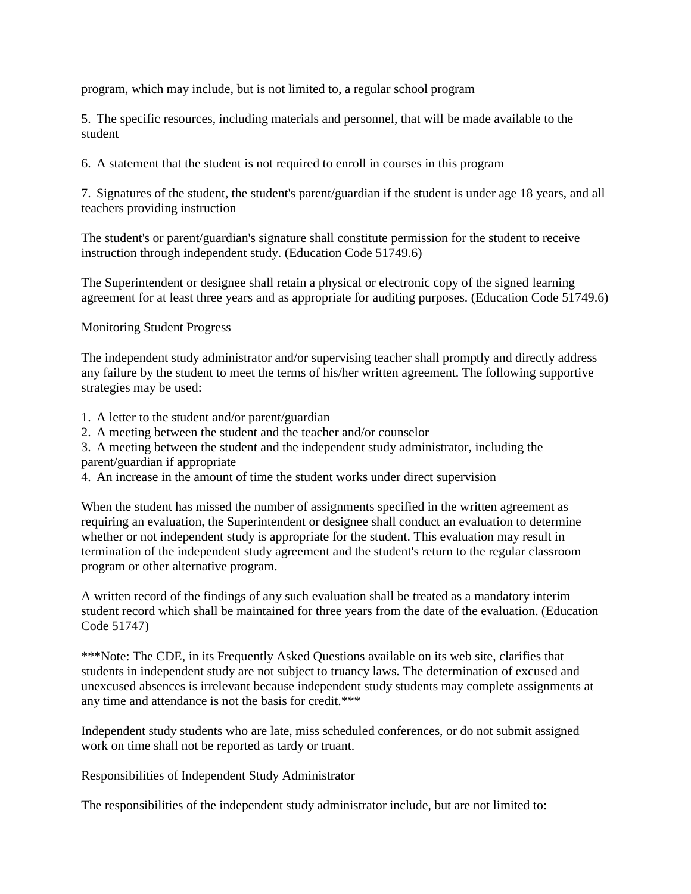program, which may include, but is not limited to, a regular school program

5. The specific resources, including materials and personnel, that will be made available to the student

6. A statement that the student is not required to enroll in courses in this program

7. Signatures of the student, the student's parent/guardian if the student is under age 18 years, and all teachers providing instruction

The student's or parent/guardian's signature shall constitute permission for the student to receive instruction through independent study. (Education Code 51749.6)

The Superintendent or designee shall retain a physical or electronic copy of the signed learning agreement for at least three years and as appropriate for auditing purposes. (Education Code 51749.6)

Monitoring Student Progress

The independent study administrator and/or supervising teacher shall promptly and directly address any failure by the student to meet the terms of his/her written agreement. The following supportive strategies may be used:

- 1. A letter to the student and/or parent/guardian
- 2. A meeting between the student and the teacher and/or counselor

3. A meeting between the student and the independent study administrator, including the parent/guardian if appropriate

4. An increase in the amount of time the student works under direct supervision

When the student has missed the number of assignments specified in the written agreement as requiring an evaluation, the Superintendent or designee shall conduct an evaluation to determine whether or not independent study is appropriate for the student. This evaluation may result in termination of the independent study agreement and the student's return to the regular classroom program or other alternative program.

A written record of the findings of any such evaluation shall be treated as a mandatory interim student record which shall be maintained for three years from the date of the evaluation. (Education Code 51747)

\*\*\*Note: The CDE, in its Frequently Asked Questions available on its web site, clarifies that students in independent study are not subject to truancy laws. The determination of excused and unexcused absences is irrelevant because independent study students may complete assignments at any time and attendance is not the basis for credit.\*\*\*

Independent study students who are late, miss scheduled conferences, or do not submit assigned work on time shall not be reported as tardy or truant.

Responsibilities of Independent Study Administrator

The responsibilities of the independent study administrator include, but are not limited to: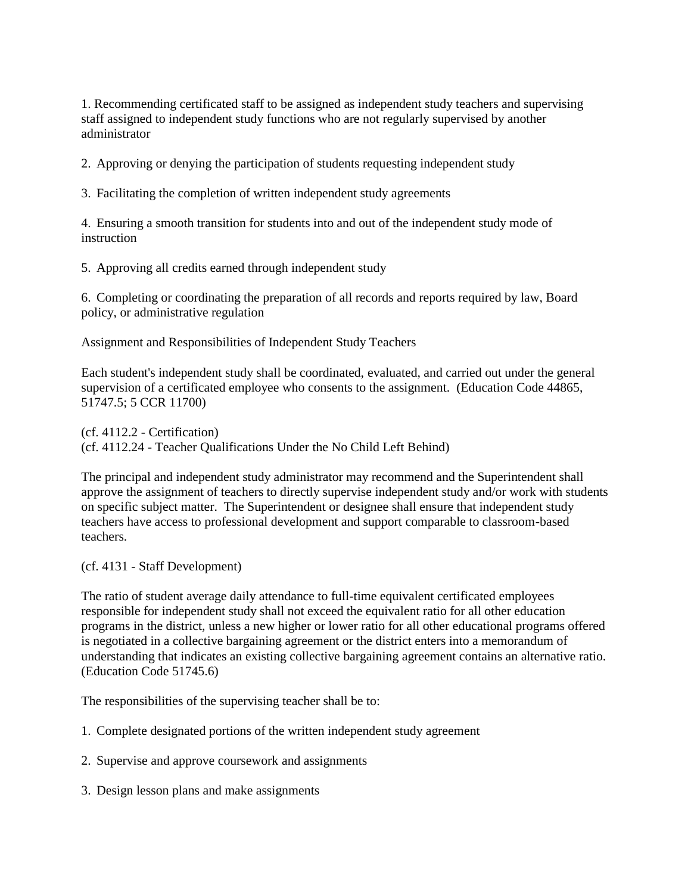1. Recommending certificated staff to be assigned as independent study teachers and supervising staff assigned to independent study functions who are not regularly supervised by another administrator

2. Approving or denying the participation of students requesting independent study

3. Facilitating the completion of written independent study agreements

4. Ensuring a smooth transition for students into and out of the independent study mode of instruction

5. Approving all credits earned through independent study

6. Completing or coordinating the preparation of all records and reports required by law, Board policy, or administrative regulation

Assignment and Responsibilities of Independent Study Teachers

Each student's independent study shall be coordinated, evaluated, and carried out under the general supervision of a certificated employee who consents to the assignment. (Education Code 44865, 51747.5; 5 CCR 11700)

(cf. 4112.2 - Certification)

(cf. 4112.24 - Teacher Qualifications Under the No Child Left Behind)

The principal and independent study administrator may recommend and the Superintendent shall approve the assignment of teachers to directly supervise independent study and/or work with students on specific subject matter. The Superintendent or designee shall ensure that independent study teachers have access to professional development and support comparable to classroom-based teachers.

(cf. 4131 - Staff Development)

The ratio of student average daily attendance to full-time equivalent certificated employees responsible for independent study shall not exceed the equivalent ratio for all other education programs in the district, unless a new higher or lower ratio for all other educational programs offered is negotiated in a collective bargaining agreement or the district enters into a memorandum of understanding that indicates an existing collective bargaining agreement contains an alternative ratio. (Education Code 51745.6)

The responsibilities of the supervising teacher shall be to:

- 1. Complete designated portions of the written independent study agreement
- 2. Supervise and approve coursework and assignments
- 3. Design lesson plans and make assignments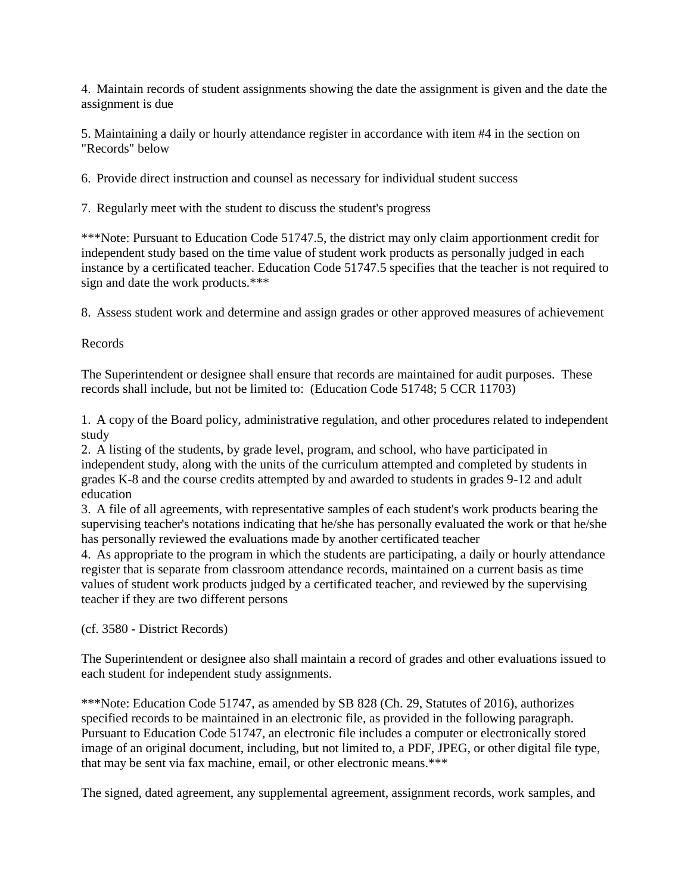4. Maintain records of student assignments showing the date the assignment is given and the date the assignment is due

5. Maintaining a daily or hourly attendance register in accordance with item #4 in the section on "Records" below

6. Provide direct instruction and counsel as necessary for individual student success

7. Regularly meet with the student to discuss the student's progress

\*\*\*Note: Pursuant to Education Code 51747.5, the district may only claim apportionment credit for independent study based on the time value of student work products as personally judged in each instance by a certificated teacher. Education Code 51747.5 specifies that the teacher is not required to sign and date the work products.\*\*\*

8. Assess student work and determine and assign grades or other approved measures of achievement

Records

The Superintendent or designee shall ensure that records are maintained for audit purposes. These records shall include, but not be limited to: (Education Code 51748; 5 CCR 11703)

1. A copy of the Board policy, administrative regulation, and other procedures related to independent study

2. A listing of the students, by grade level, program, and school, who have participated in independent study, along with the units of the curriculum attempted and completed by students in grades K-8 and the course credits attempted by and awarded to students in grades 9-12 and adult education

3. A file of all agreements, with representative samples of each student's work products bearing the supervising teacher's notations indicating that he/she has personally evaluated the work or that he/she has personally reviewed the evaluations made by another certificated teacher

4. As appropriate to the program in which the students are participating, a daily or hourly attendance register that is separate from classroom attendance records, maintained on a current basis as time values of student work products judged by a certificated teacher, and reviewed by the supervising teacher if they are two different persons

(cf. 3580 - District Records)

The Superintendent or designee also shall maintain a record of grades and other evaluations issued to each student for independent study assignments.

\*\*\*Note: Education Code 51747, as amended by SB 828 (Ch. 29, Statutes of 2016), authorizes specified records to be maintained in an electronic file, as provided in the following paragraph. Pursuant to Education Code 51747, an electronic file includes a computer or electronically stored image of an original document, including, but not limited to, a PDF, JPEG, or other digital file type, that may be sent via fax machine, email, or other electronic means.\*\*\*

The signed, dated agreement, any supplemental agreement, assignment records, work samples, and